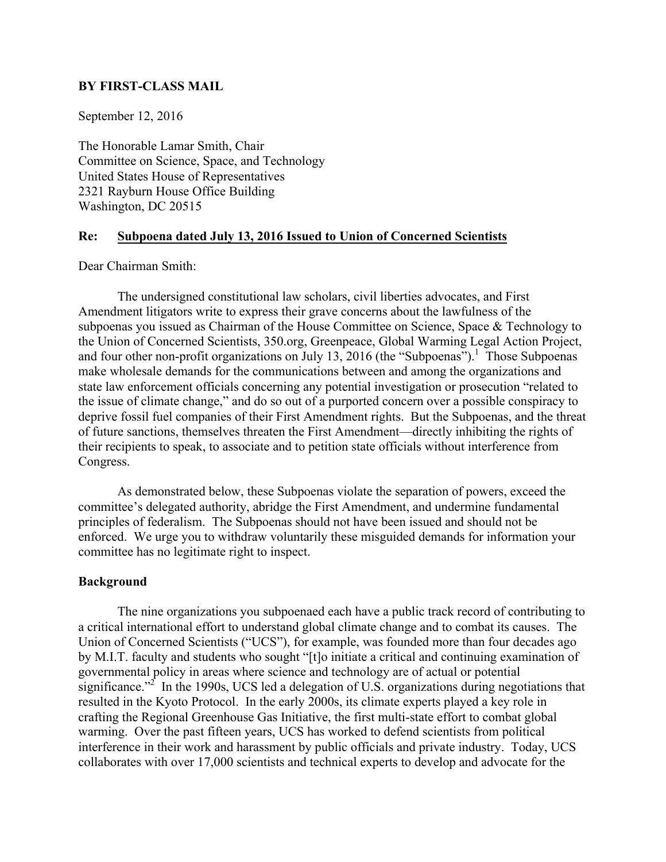## **BY FIRST-CLASS MAIL**

September 12, 2016

The Honorable Lamar Smith, Chair Committee on Science, Space, and Technology United States House of Representatives 2321 Rayburn House Office Building Washington, DC 20515

# **Re: Subpoena dated July 13, 2016 Issued to Union of Concerned Scientists**

Dear Chairman Smith:

The undersigned constitutional law scholars, civil liberties advocates, and First Amendment litigators write to express their grave concerns about the lawfulness of the subpoenas you issued as Chairman of the House Committee on Science, Space & Technology to the Union of Concerned Scientists, 350.org, Greenpeace, Global Warming Legal Action Project, and four other non-profit organizations on July 13, 2016 (the "Subpoenas").<sup>1</sup> Those Subpoenas make wholesale demands for the communications between and among the organizations and state law enforcement officials concerning any potential investigation or prosecution "related to the issue of climate change," and do so out of a purported concern over a possible conspiracy to deprive fossil fuel companies of their First Amendment rights. But the Subpoenas, and the threat of future sanctions, themselves threaten the First Amendment—directly inhibiting the rights of their recipients to speak, to associate and to petition state officials without interference from Congress.

As demonstrated below, these Subpoenas violate the separation of powers, exceed the committee's delegated authority, abridge the First Amendment, and undermine fundamental principles of federalism. The Subpoenas should not have been issued and should not be enforced. We urge you to withdraw voluntarily these misguided demands for information your committee has no legitimate right to inspect.

#### **Background**

The nine organizations you subpoenaed each have a public track record of contributing to a critical international effort to understand global climate change and to combat its causes. The Union of Concerned Scientists ("UCS"), for example, was founded more than four decades ago by M.I.T. faculty and students who sought "[t]o initiate a critical and continuing examination of governmental policy in areas where science and technology are of actual or potential significance.<sup>22</sup> In the 1990s, UCS led a delegation of U.S. organizations during negotiations that resulted in the Kyoto Protocol. In the early 2000s, its climate experts played a key role in crafting the Regional Greenhouse Gas Initiative, the first multi-state effort to combat global warming. Over the past fifteen years, UCS has worked to defend scientists from political interference in their work and harassment by public officials and private industry. Today, UCS collaborates with over 17,000 scientists and technical experts to develop and advocate for the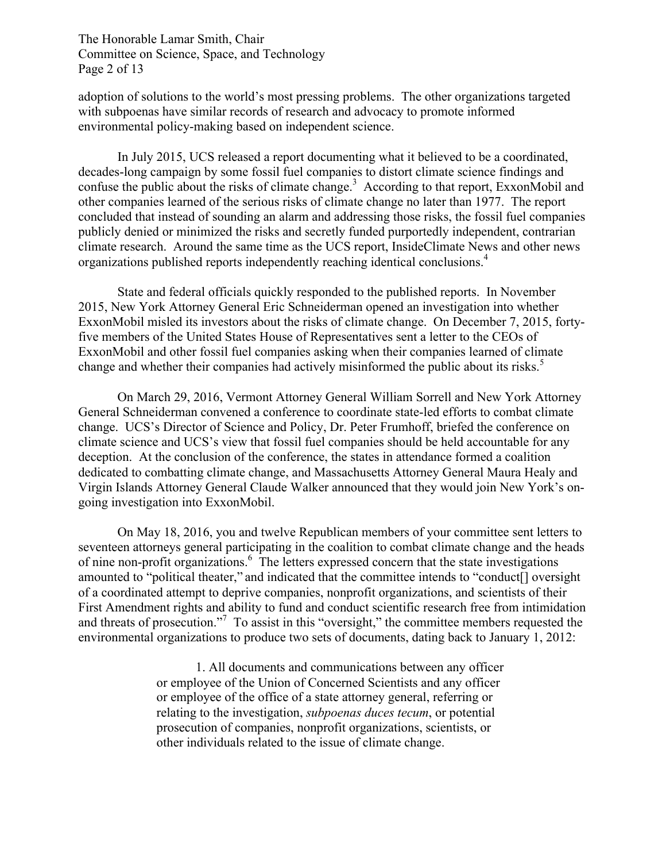The Honorable Lamar Smith, Chair Committee on Science, Space, and Technology Page 2 of 13

adoption of solutions to the world's most pressing problems. The other organizations targeted with subpoenas have similar records of research and advocacy to promote informed environmental policy-making based on independent science.

In July 2015, UCS released a report documenting what it believed to be a coordinated, decades-long campaign by some fossil fuel companies to distort climate science findings and confuse the public about the risks of climate change.<sup>3</sup> According to that report, ExxonMobil and other companies learned of the serious risks of climate change no later than 1977. The report concluded that instead of sounding an alarm and addressing those risks, the fossil fuel companies publicly denied or minimized the risks and secretly funded purportedly independent, contrarian climate research. Around the same time as the UCS report, InsideClimate News and other news organizations published reports independently reaching identical conclusions. 4

State and federal officials quickly responded to the published reports. In November 2015, New York Attorney General Eric Schneiderman opened an investigation into whether ExxonMobil misled its investors about the risks of climate change. On December 7, 2015, fortyfive members of the United States House of Representatives sent a letter to the CEOs of ExxonMobil and other fossil fuel companies asking when their companies learned of climate change and whether their companies had actively misinformed the public about its risks.<sup>5</sup>

On March 29, 2016, Vermont Attorney General William Sorrell and New York Attorney General Schneiderman convened a conference to coordinate state-led efforts to combat climate change. UCS's Director of Science and Policy, Dr. Peter Frumhoff, briefed the conference on climate science and UCS's view that fossil fuel companies should be held accountable for any deception. At the conclusion of the conference, the states in attendance formed a coalition dedicated to combatting climate change, and Massachusetts Attorney General Maura Healy and Virgin Islands Attorney General Claude Walker announced that they would join New York's ongoing investigation into ExxonMobil.

On May 18, 2016, you and twelve Republican members of your committee sent letters to seventeen attorneys general participating in the coalition to combat climate change and the heads of nine non-profit organizations. <sup>6</sup> The letters expressed concern that the state investigations amounted to "political theater," and indicated that the committee intends to "conduct[] oversight of a coordinated attempt to deprive companies, nonprofit organizations, and scientists of their First Amendment rights and ability to fund and conduct scientific research free from intimidation and threats of prosecution."<sup>7</sup> To assist in this "oversight," the committee members requested the environmental organizations to produce two sets of documents, dating back to January 1, 2012:

> 1. All documents and communications between any officer or employee of the Union of Concerned Scientists and any officer or employee of the office of a state attorney general, referring or relating to the investigation, *subpoenas duces tecum*, or potential prosecution of companies, nonprofit organizations, scientists, or other individuals related to the issue of climate change.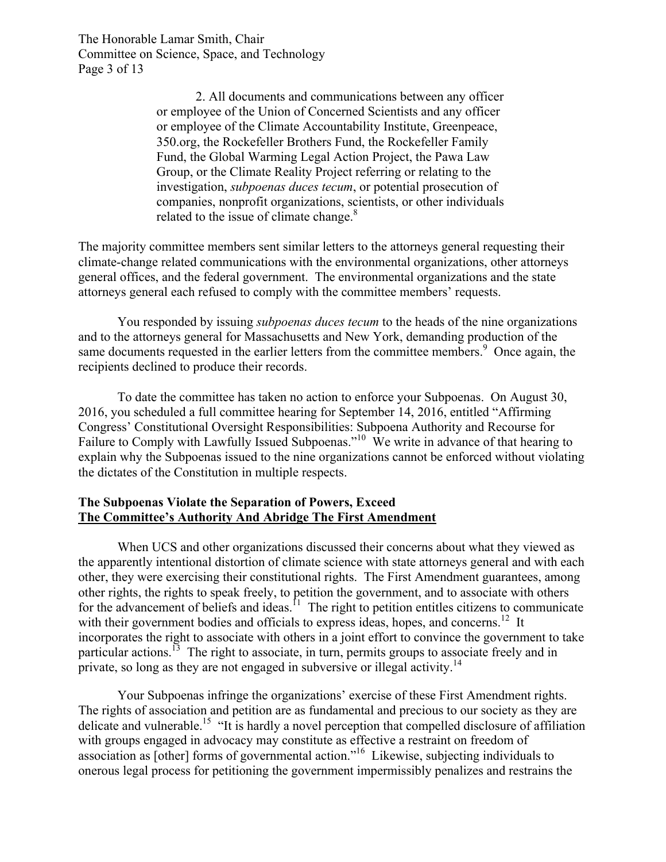The Honorable Lamar Smith, Chair Committee on Science, Space, and Technology Page 3 of 13

> 2. All documents and communications between any officer or employee of the Union of Concerned Scientists and any officer or employee of the Climate Accountability Institute, Greenpeace, 350.org, the Rockefeller Brothers Fund, the Rockefeller Family Fund, the Global Warming Legal Action Project, the Pawa Law Group, or the Climate Reality Project referring or relating to the investigation, *subpoenas duces tecum*, or potential prosecution of companies, nonprofit organizations, scientists, or other individuals related to the issue of climate change. $8<sup>8</sup>$

The majority committee members sent similar letters to the attorneys general requesting their climate-change related communications with the environmental organizations, other attorneys general offices, and the federal government. The environmental organizations and the state attorneys general each refused to comply with the committee members' requests.

You responded by issuing *subpoenas duces tecum* to the heads of the nine organizations and to the attorneys general for Massachusetts and New York, demanding production of the same documents requested in the earlier letters from the committee members.<sup>9</sup> Once again, the recipients declined to produce their records.

To date the committee has taken no action to enforce your Subpoenas. On August 30, 2016, you scheduled a full committee hearing for September 14, 2016, entitled "Affirming Congress' Constitutional Oversight Responsibilities: Subpoena Authority and Recourse for Failure to Comply with Lawfully Issued Subpoenas."<sup>10</sup> We write in advance of that hearing to explain why the Subpoenas issued to the nine organizations cannot be enforced without violating the dictates of the Constitution in multiple respects.

## **The Subpoenas Violate the Separation of Powers, Exceed The Committee's Authority And Abridge The First Amendment**

When UCS and other organizations discussed their concerns about what they viewed as the apparently intentional distortion of climate science with state attorneys general and with each other, they were exercising their constitutional rights. The First Amendment guarantees, among other rights, the rights to speak freely, to petition the government, and to associate with others for the advancement of beliefs and ideas.<sup>11</sup> The right to petition entitles citizens to communicate with their government bodies and officials to express ideas, hopes, and concerns.<sup>12</sup> It incorporates the right to associate with others in a joint effort to convince the government to take particular actions.<sup>13</sup> The right to associate, in turn, permits groups to associate freely and in private, so long as they are not engaged in subversive or illegal activity.<sup>14</sup>

Your Subpoenas infringe the organizations' exercise of these First Amendment rights. The rights of association and petition are as fundamental and precious to our society as they are delicate and vulnerable.15 "It is hardly a novel perception that compelled disclosure of affiliation with groups engaged in advocacy may constitute as effective a restraint on freedom of association as [other] forms of governmental action."16 Likewise, subjecting individuals to onerous legal process for petitioning the government impermissibly penalizes and restrains the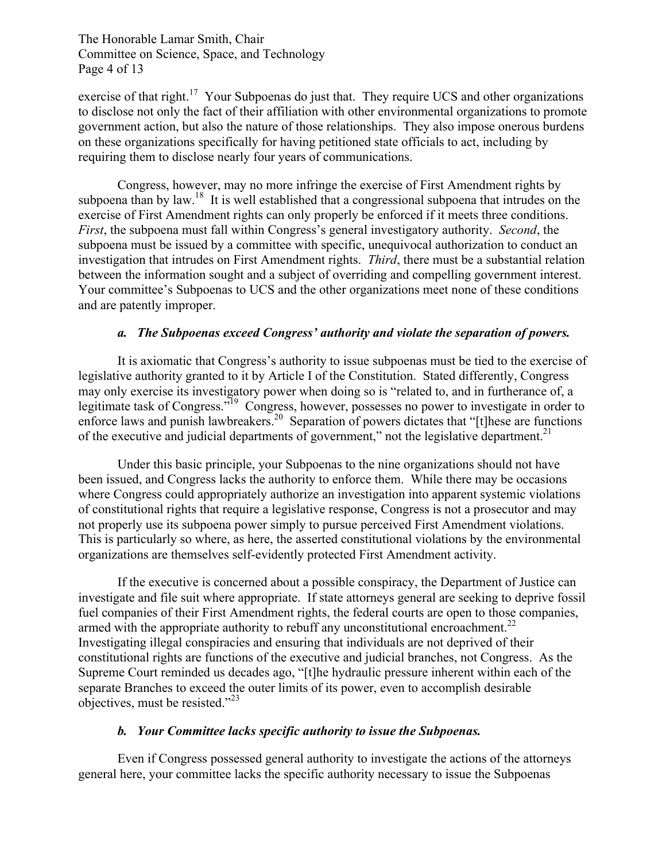## The Honorable Lamar Smith, Chair Committee on Science, Space, and Technology Page 4 of 13

exercise of that right.<sup>17</sup> Your Subpoenas do just that. They require UCS and other organizations to disclose not only the fact of their affiliation with other environmental organizations to promote government action, but also the nature of those relationships. They also impose onerous burdens on these organizations specifically for having petitioned state officials to act, including by requiring them to disclose nearly four years of communications.

Congress, however, may no more infringe the exercise of First Amendment rights by subpoena than by law.<sup>18</sup> It is well established that a congressional subpoena that intrudes on the exercise of First Amendment rights can only properly be enforced if it meets three conditions. *First*, the subpoena must fall within Congress's general investigatory authority. *Second*, the subpoena must be issued by a committee with specific, unequivocal authorization to conduct an investigation that intrudes on First Amendment rights. *Third*, there must be a substantial relation between the information sought and a subject of overriding and compelling government interest. Your committee's Subpoenas to UCS and the other organizations meet none of these conditions and are patently improper.

### *a. The Subpoenas exceed Congress' authority and violate the separation of powers.*

It is axiomatic that Congress's authority to issue subpoenas must be tied to the exercise of legislative authority granted to it by Article I of the Constitution. Stated differently, Congress may only exercise its investigatory power when doing so is "related to, and in furtherance of, a legitimate task of Congress."<sup>19</sup> Congress, however, possesses no power to investigate in order to enforce laws and punish lawbreakers.<sup>20</sup> Separation of powers dictates that "[t]hese are functions of the executive and judicial departments of government," not the legislative department.<sup>21</sup>

Under this basic principle, your Subpoenas to the nine organizations should not have been issued, and Congress lacks the authority to enforce them. While there may be occasions where Congress could appropriately authorize an investigation into apparent systemic violations of constitutional rights that require a legislative response, Congress is not a prosecutor and may not properly use its subpoena power simply to pursue perceived First Amendment violations. This is particularly so where, as here, the asserted constitutional violations by the environmental organizations are themselves self-evidently protected First Amendment activity.

If the executive is concerned about a possible conspiracy, the Department of Justice can investigate and file suit where appropriate. If state attorneys general are seeking to deprive fossil fuel companies of their First Amendment rights, the federal courts are open to those companies, armed with the appropriate authority to rebuff any unconstitutional encroachment.<sup>22</sup> Investigating illegal conspiracies and ensuring that individuals are not deprived of their constitutional rights are functions of the executive and judicial branches, not Congress. As the Supreme Court reminded us decades ago, "[t]he hydraulic pressure inherent within each of the separate Branches to exceed the outer limits of its power, even to accomplish desirable objectives, must be resisted."<sup>23</sup>

### *b. Your Committee lacks specific authority to issue the Subpoenas.*

Even if Congress possessed general authority to investigate the actions of the attorneys general here, your committee lacks the specific authority necessary to issue the Subpoenas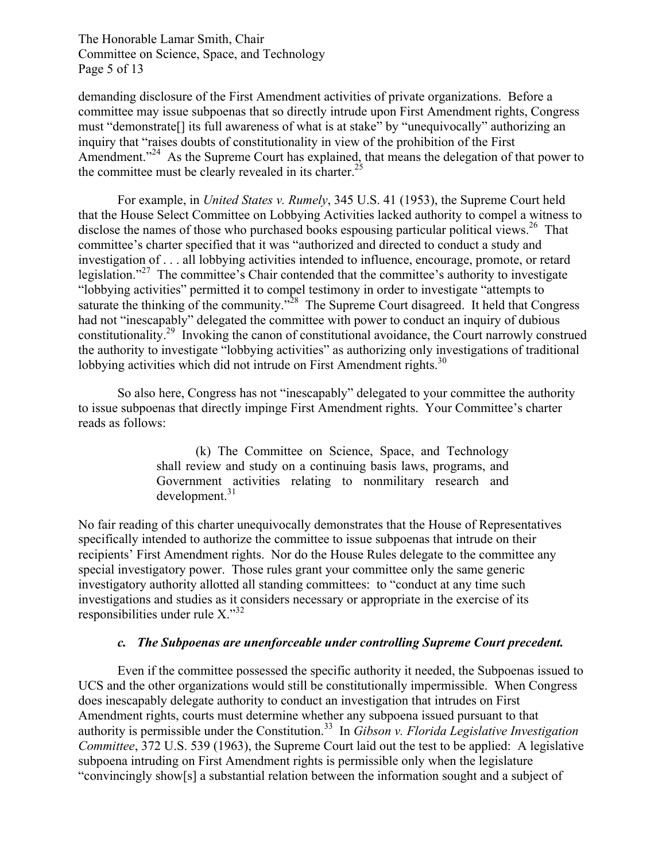The Honorable Lamar Smith, Chair Committee on Science, Space, and Technology Page 5 of 13

demanding disclosure of the First Amendment activities of private organizations. Before a committee may issue subpoenas that so directly intrude upon First Amendment rights, Congress must "demonstrate[] its full awareness of what is at stake" by "unequivocally" authorizing an inquiry that "raises doubts of constitutionality in view of the prohibition of the First Amendment."<sup>24</sup> As the Supreme Court has explained, that means the delegation of that power to the committee must be clearly revealed in its charter.<sup>25</sup>

For example, in *United States v. Rumely*, 345 U.S. 41 (1953), the Supreme Court held that the House Select Committee on Lobbying Activities lacked authority to compel a witness to disclose the names of those who purchased books espousing particular political views.<sup>26</sup> That committee's charter specified that it was "authorized and directed to conduct a study and investigation of . . . all lobbying activities intended to influence, encourage, promote, or retard legislation."<sup>27</sup> The committee's Chair contended that the committee's authority to investigate "lobbying activities" permitted it to compel testimony in order to investigate "attempts to saturate the thinking of the community."<sup>28</sup> The Supreme Court disagreed. It held that Congress had not "inescapably" delegated the committee with power to conduct an inquiry of dubious constitutionality.29 Invoking the canon of constitutional avoidance, the Court narrowly construed the authority to investigate "lobbying activities" as authorizing only investigations of traditional lobbying activities which did not intrude on First Amendment rights. $30$ 

So also here, Congress has not "inescapably" delegated to your committee the authority to issue subpoenas that directly impinge First Amendment rights. Your Committee's charter reads as follows:

> (k) The Committee on Science, Space, and Technology shall review and study on a continuing basis laws, programs, and Government activities relating to nonmilitary research and development.<sup>31</sup>

No fair reading of this charter unequivocally demonstrates that the House of Representatives specifically intended to authorize the committee to issue subpoenas that intrude on their recipients' First Amendment rights. Nor do the House Rules delegate to the committee any special investigatory power. Those rules grant your committee only the same generic investigatory authority allotted all standing committees: to "conduct at any time such investigations and studies as it considers necessary or appropriate in the exercise of its responsibilities under rule  $X.^{32}$ 

### *c. The Subpoenas are unenforceable under controlling Supreme Court precedent.*

Even if the committee possessed the specific authority it needed, the Subpoenas issued to UCS and the other organizations would still be constitutionally impermissible. When Congress does inescapably delegate authority to conduct an investigation that intrudes on First Amendment rights, courts must determine whether any subpoena issued pursuant to that authority is permissible under the Constitution. 33 In *Gibson v. Florida Legislative Investigation Committee*, 372 U.S. 539 (1963), the Supreme Court laid out the test to be applied: A legislative subpoena intruding on First Amendment rights is permissible only when the legislature "convincingly show[s] a substantial relation between the information sought and a subject of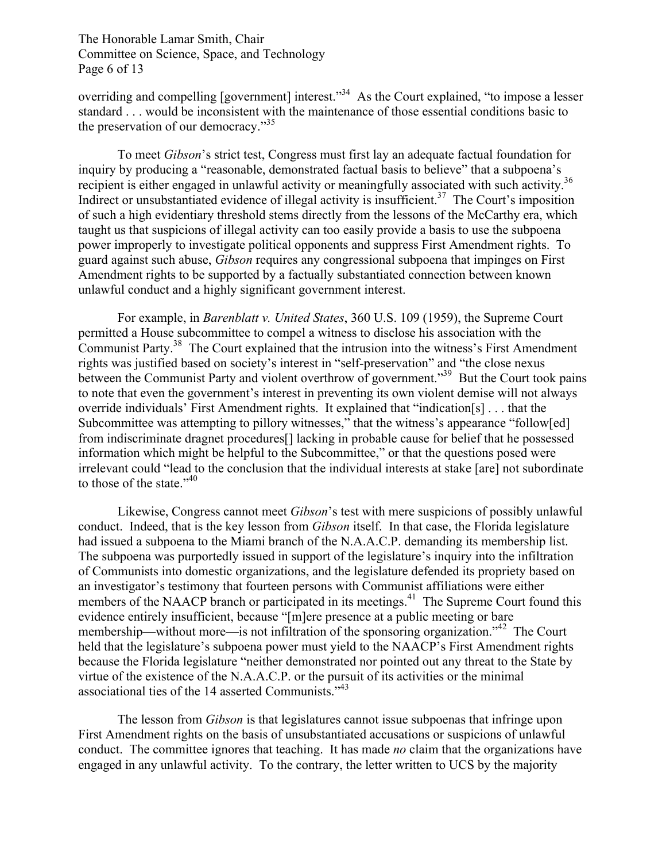The Honorable Lamar Smith, Chair Committee on Science, Space, and Technology Page 6 of 13

overriding and compelling [government] interest."<sup>34</sup> As the Court explained, "to impose a lesser standard . . . would be inconsistent with the maintenance of those essential conditions basic to the preservation of our democracy."35

To meet *Gibson*'s strict test, Congress must first lay an adequate factual foundation for inquiry by producing a "reasonable, demonstrated factual basis to believe" that a subpoena's recipient is either engaged in unlawful activity or meaningfully associated with such activity.<sup>36</sup> Indirect or unsubstantiated evidence of illegal activity is insufficient.<sup>37</sup> The Court's imposition of such a high evidentiary threshold stems directly from the lessons of the McCarthy era, which taught us that suspicions of illegal activity can too easily provide a basis to use the subpoena power improperly to investigate political opponents and suppress First Amendment rights. To guard against such abuse, *Gibson* requires any congressional subpoena that impinges on First Amendment rights to be supported by a factually substantiated connection between known unlawful conduct and a highly significant government interest.

For example, in *Barenblatt v. United States*, 360 U.S. 109 (1959), the Supreme Court permitted a House subcommittee to compel a witness to disclose his association with the Communist Party.38 The Court explained that the intrusion into the witness's First Amendment rights was justified based on society's interest in "self-preservation" and "the close nexus between the Communist Party and violent overthrow of government."<sup>39</sup> But the Court took pains to note that even the government's interest in preventing its own violent demise will not always override individuals' First Amendment rights. It explained that "indication[s] . . . that the Subcommittee was attempting to pillory witnesses," that the witness's appearance "follow[ed] from indiscriminate dragnet procedures[] lacking in probable cause for belief that he possessed information which might be helpful to the Subcommittee," or that the questions posed were irrelevant could "lead to the conclusion that the individual interests at stake [are] not subordinate to those of the state."<sup>40</sup>

Likewise, Congress cannot meet *Gibson*'s test with mere suspicions of possibly unlawful conduct. Indeed, that is the key lesson from *Gibson* itself. In that case, the Florida legislature had issued a subpoena to the Miami branch of the N.A.A.C.P. demanding its membership list. The subpoena was purportedly issued in support of the legislature's inquiry into the infiltration of Communists into domestic organizations, and the legislature defended its propriety based on an investigator's testimony that fourteen persons with Communist affiliations were either members of the NAACP branch or participated in its meetings.<sup>41</sup> The Supreme Court found this evidence entirely insufficient, because "[m]ere presence at a public meeting or bare membership—without more—is not infiltration of the sponsoring organization.<sup>742</sup> The Court held that the legislature's subpoena power must yield to the NAACP's First Amendment rights because the Florida legislature "neither demonstrated nor pointed out any threat to the State by virtue of the existence of the N.A.A.C.P. or the pursuit of its activities or the minimal associational ties of the 14 asserted Communists."<sup>43</sup>

The lesson from *Gibson* is that legislatures cannot issue subpoenas that infringe upon First Amendment rights on the basis of unsubstantiated accusations or suspicions of unlawful conduct. The committee ignores that teaching. It has made *no* claim that the organizations have engaged in any unlawful activity. To the contrary, the letter written to UCS by the majority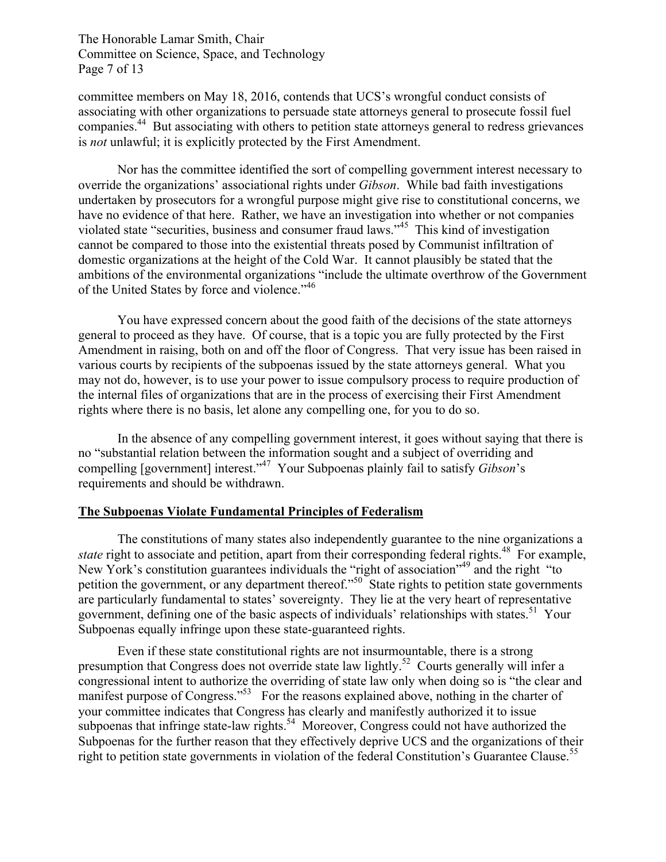The Honorable Lamar Smith, Chair Committee on Science, Space, and Technology Page 7 of 13

committee members on May 18, 2016, contends that UCS's wrongful conduct consists of associating with other organizations to persuade state attorneys general to prosecute fossil fuel companies.44 But associating with others to petition state attorneys general to redress grievances is *not* unlawful; it is explicitly protected by the First Amendment.

Nor has the committee identified the sort of compelling government interest necessary to override the organizations' associational rights under *Gibson*. While bad faith investigations undertaken by prosecutors for a wrongful purpose might give rise to constitutional concerns, we have no evidence of that here. Rather, we have an investigation into whether or not companies violated state "securities, business and consumer fraud laws." <sup>45</sup> This kind of investigation cannot be compared to those into the existential threats posed by Communist infiltration of domestic organizations at the height of the Cold War. It cannot plausibly be stated that the ambitions of the environmental organizations "include the ultimate overthrow of the Government of the United States by force and violence."<sup>46</sup>

You have expressed concern about the good faith of the decisions of the state attorneys general to proceed as they have. Of course, that is a topic you are fully protected by the First Amendment in raising, both on and off the floor of Congress. That very issue has been raised in various courts by recipients of the subpoenas issued by the state attorneys general. What you may not do, however, is to use your power to issue compulsory process to require production of the internal files of organizations that are in the process of exercising their First Amendment rights where there is no basis, let alone any compelling one, for you to do so.

In the absence of any compelling government interest, it goes without saying that there is no "substantial relation between the information sought and a subject of overriding and compelling [government] interest."47 Your Subpoenas plainly fail to satisfy *Gibson*'s requirements and should be withdrawn.

#### **The Subpoenas Violate Fundamental Principles of Federalism**

The constitutions of many states also independently guarantee to the nine organizations a *state* right to associate and petition, apart from their corresponding federal rights.<sup>48</sup> For example, New York's constitution guarantees individuals the "right of association"<sup>49</sup> and the right "to" petition the government, or any department thereof.<sup>50</sup> State rights to petition state governments are particularly fundamental to states' sovereignty. They lie at the very heart of representative government, defining one of the basic aspects of individuals' relationships with states.<sup>51</sup> Your Subpoenas equally infringe upon these state-guaranteed rights.

Even if these state constitutional rights are not insurmountable, there is a strong presumption that Congress does not override state law lightly.<sup>52</sup> Courts generally will infer a congressional intent to authorize the overriding of state law only when doing so is "the clear and manifest purpose of Congress."<sup>53</sup> For the reasons explained above, nothing in the charter of your committee indicates that Congress has clearly and manifestly authorized it to issue subpoenas that infringe state-law rights.<sup>54</sup> Moreover, Congress could not have authorized the Subpoenas for the further reason that they effectively deprive UCS and the organizations of their right to petition state governments in violation of the federal Constitution's Guarantee Clause.<sup>55</sup>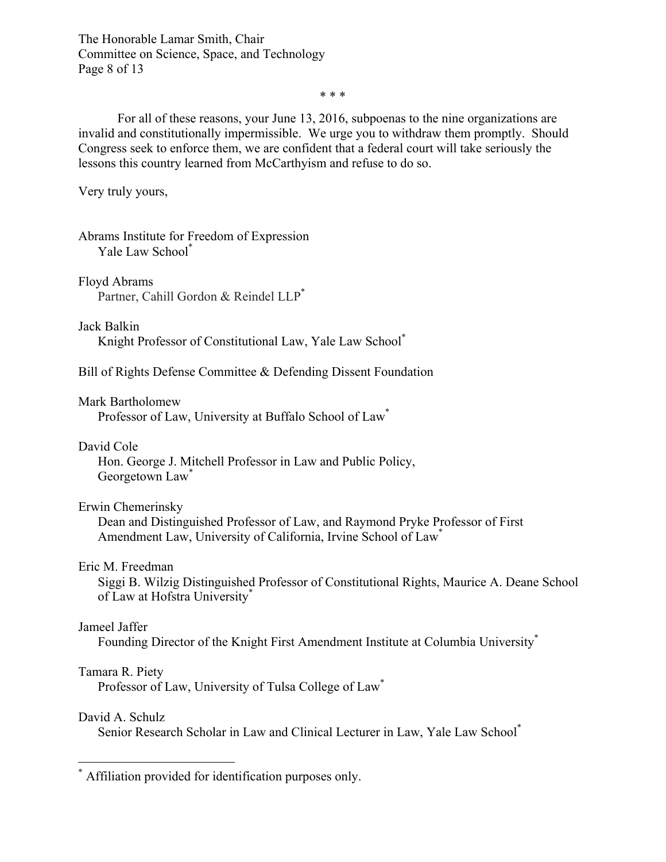The Honorable Lamar Smith, Chair Committee on Science, Space, and Technology Page 8 of 13

\* \* \*

For all of these reasons, your June 13, 2016, subpoenas to the nine organizations are invalid and constitutionally impermissible. We urge you to withdraw them promptly. Should Congress seek to enforce them, we are confident that a federal court will take seriously the lessons this country learned from McCarthyism and refuse to do so.

Very truly yours,

Abrams Institute for Freedom of Expression Yale Law School\*

Floyd Abrams Partner, Cahill Gordon & Reindel LLP<sup>\*</sup>

Jack Balkin

Knight Professor of Constitutional Law, Yale Law School\*

Bill of Rights Defense Committee & Defending Dissent Foundation

Mark Bartholomew

Professor of Law, University at Buffalo School of Law\*

David Cole

Hon. George J. Mitchell Professor in Law and Public Policy, Georgetown Law<sup>\*</sup>

#### Erwin Chemerinsky

Dean and Distinguished Professor of Law, and Raymond Pryke Professor of First Amendment Law, University of California, Irvine School of Law\*

#### Eric M. Freedman

Siggi B. Wilzig Distinguished Professor of Constitutional Rights, Maurice A. Deane School of Law at Hofstra University<sup>\*</sup>

#### Jameel Jaffer

Founding Director of the Knight First Amendment Institute at Columbia University\*

## Tamara R. Piety

Professor of Law, University of Tulsa College of Law<sup>\*</sup>

#### David A. Schulz

Senior Research Scholar in Law and Clinical Lecturer in Law, Yale Law School\*

\* Affiliation provided for identification purposes only.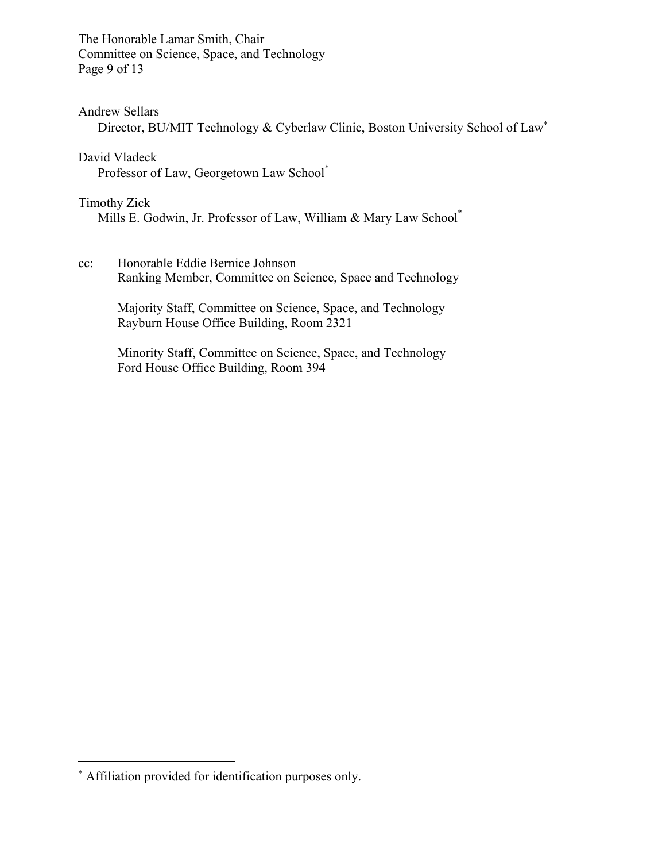The Honorable Lamar Smith, Chair Committee on Science, Space, and Technology Page 9 of 13

### Andrew Sellars

Director, BU/MIT Technology & Cyberlaw Clinic, Boston University School of Law\*

## David Vladeck

Professor of Law, Georgetown Law School\*

### Timothy Zick

Mills E. Godwin, Jr. Professor of Law, William & Mary Law School\*

### cc: Honorable Eddie Bernice Johnson Ranking Member, Committee on Science, Space and Technology

Majority Staff, Committee on Science, Space, and Technology Rayburn House Office Building, Room 2321

Minority Staff, Committee on Science, Space, and Technology Ford House Office Building, Room 394

 $\overline{a}$ 

<sup>\*</sup> Affiliation provided for identification purposes only.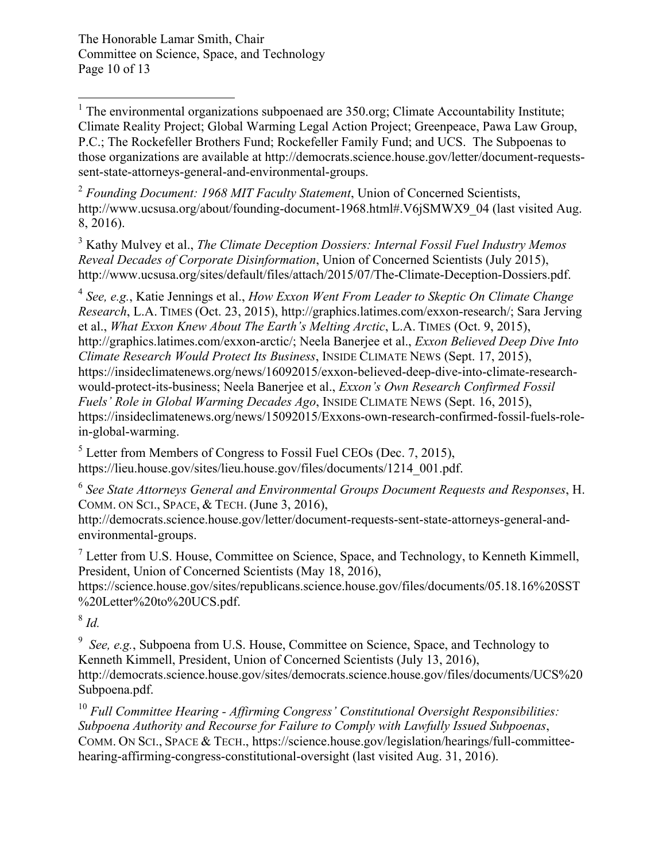The Honorable Lamar Smith, Chair Committee on Science, Space, and Technology Page 10 of 13

 $1$ . The environmental organizations subpoenaed are 350.org; Climate Accountability Institute; Climate Reality Project; Global Warming Legal Action Project; Greenpeace, Pawa Law Group, P.C.; The Rockefeller Brothers Fund; Rockefeller Family Fund; and UCS. The Subpoenas to those organizations are available at http://democrats.science.house.gov/letter/document-requestssent-state-attorneys-general-and-environmental-groups.

<sup>2</sup> *Founding Document: 1968 MIT Faculty Statement*, Union of Concerned Scientists, http://www.ucsusa.org/about/founding-document-1968.html#.V6jSMWX9\_04 (last visited Aug. 8, 2016).

<sup>3</sup> Kathy Mulvey et al., *The Climate Deception Dossiers: Internal Fossil Fuel Industry Memos Reveal Decades of Corporate Disinformation*, Union of Concerned Scientists (July 2015), http://www.ucsusa.org/sites/default/files/attach/2015/07/The-Climate-Deception-Dossiers.pdf.

<sup>4</sup> *See, e.g.*, Katie Jennings et al., *How Exxon Went From Leader to Skeptic On Climate Change Research*, L.A. TIMES (Oct. 23, 2015), http://graphics.latimes.com/exxon-research/; Sara Jerving et al., *What Exxon Knew About The Earth's Melting Arctic*, L.A. TIMES (Oct. 9, 2015), http://graphics.latimes.com/exxon-arctic/; Neela Banerjee et al., *Exxon Believed Deep Dive Into Climate Research Would Protect Its Business*, INSIDE CLIMATE NEWS (Sept. 17, 2015), https://insideclimatenews.org/news/16092015/exxon-believed-deep-dive-into-climate-researchwould-protect-its-business; Neela Banerjee et al., *Exxon's Own Research Confirmed Fossil Fuels' Role in Global Warming Decades Ago*, INSIDE CLIMATE NEWS (Sept. 16, 2015), https://insideclimatenews.org/news/15092015/Exxons-own-research-confirmed-fossil-fuels-rolein-global-warming.

 $<sup>5</sup>$  Letter from Members of Congress to Fossil Fuel CEOs (Dec. 7, 2015),</sup> https://lieu.house.gov/sites/lieu.house.gov/files/documents/1214\_001.pdf.

<sup>6</sup> *See State Attorneys General and Environmental Groups Document Requests and Responses*, H. COMM. ON SCI., SPACE, & TECH. (June 3, 2016),

http://democrats.science.house.gov/letter/document-requests-sent-state-attorneys-general-andenvironmental-groups.

<sup>7</sup> Letter from U.S. House, Committee on Science, Space, and Technology, to Kenneth Kimmell, President, Union of Concerned Scientists (May 18, 2016),

https://science.house.gov/sites/republicans.science.house.gov/files/documents/05.18.16%20SST %20Letter%20to%20UCS.pdf.

<sup>8</sup> *Id.* 

<sup>9</sup> See, e.g., Subpoena from U.S. House, Committee on Science, Space, and Technology to Kenneth Kimmell, President, Union of Concerned Scientists (July 13, 2016), http://democrats.science.house.gov/sites/democrats.science.house.gov/files/documents/UCS%20 Subpoena.pdf.

<sup>10</sup> *Full Committee Hearing - Affirming Congress' Constitutional Oversight Responsibilities: Subpoena Authority and Recourse for Failure to Comply with Lawfully Issued Subpoenas*, COMM. ON SCI., SPACE & TECH., https://science.house.gov/legislation/hearings/full-committeehearing-affirming-congress-constitutional-oversight (last visited Aug. 31, 2016).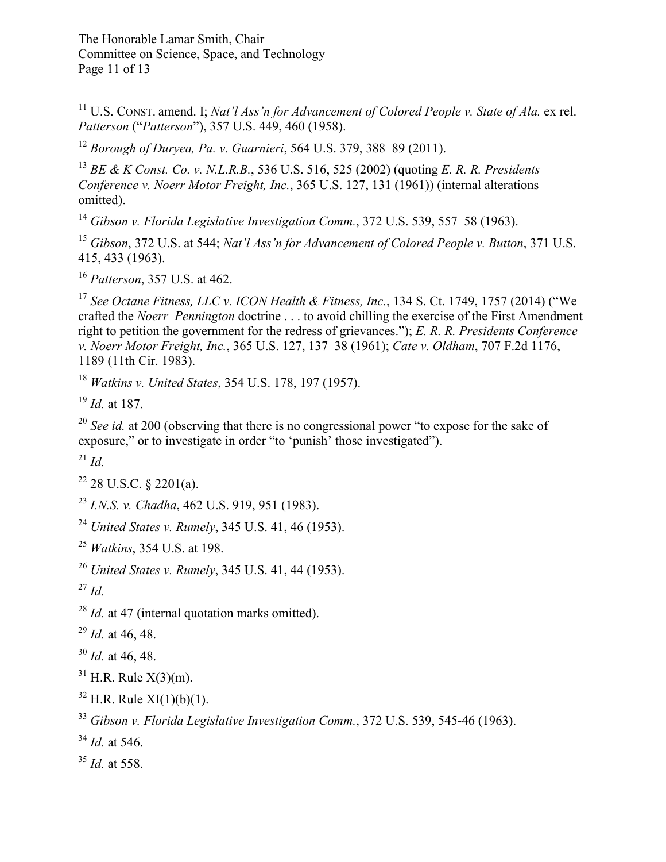<sup>11</sup> U.S. CONST. amend. I; *Nat'l Ass'n for Advancement of Colored People v. State of Ala.* ex rel. *Patterson* ("*Patterson*"), 357 U.S. 449, 460 (1958).

*Borough of Duryea, Pa. v. Guarnieri*, 564 U.S. 379, 388–89 (2011).

 *BE & K Const. Co. v. N.L.R.B.*, 536 U.S. 516, 525 (2002) (quoting *E. R. R. Presidents Conference v. Noerr Motor Freight, Inc.*, 365 U.S. 127, 131 (1961)) (internal alterations omitted).

*Gibson v. Florida Legislative Investigation Comm.*, 372 U.S. 539, 557–58 (1963).

 *Gibson*, 372 U.S. at 544; *Nat'l Ass'n for Advancement of Colored People v. Button*, 371 U.S. 415, 433 (1963).

*Patterson*, 357 U.S. at 462.

 *See Octane Fitness, LLC v. ICON Health & Fitness, Inc.*, 134 S. Ct. 1749, 1757 (2014) ("We crafted the *Noerr–Pennington* doctrine . . . to avoid chilling the exercise of the First Amendment right to petition the government for the redress of grievances."); *E. R. R. Presidents Conference v. Noerr Motor Freight, Inc.*, 365 U.S. 127, 137–38 (1961); *Cate v. Oldham*, 707 F.2d 1176, 1189 (11th Cir. 1983).

*Watkins v. United States*, 354 U.S. 178, 197 (1957).

*Id.* at 187.

<sup>20</sup> *See id.* at 200 (observing that there is no congressional power "to expose for the sake of exposure," or to investigate in order "to 'punish' those investigated").

*Id.*

28 U.S.C. § 2201(a).

*I.N.S. v. Chadha*, 462 U.S. 919, 951 (1983).

*United States v. Rumely*, 345 U.S. 41, 46 (1953).

*Watkins*, 354 U.S. at 198.

*United States v. Rumely*, 345 U.S. 41, 44 (1953).

*Id.*

*Id.* at 47 (internal quotation marks omitted).

*Id.* at 46, 48.

*Id.* at 46, 48.

H.R. Rule  $X(3)(m)$ .

H.R. Rule XI(1)(b)(1).

*Gibson v. Florida Legislative Investigation Comm.*, 372 U.S. 539, 545-46 (1963).

*Id.* at 546.

*Id.* at 558.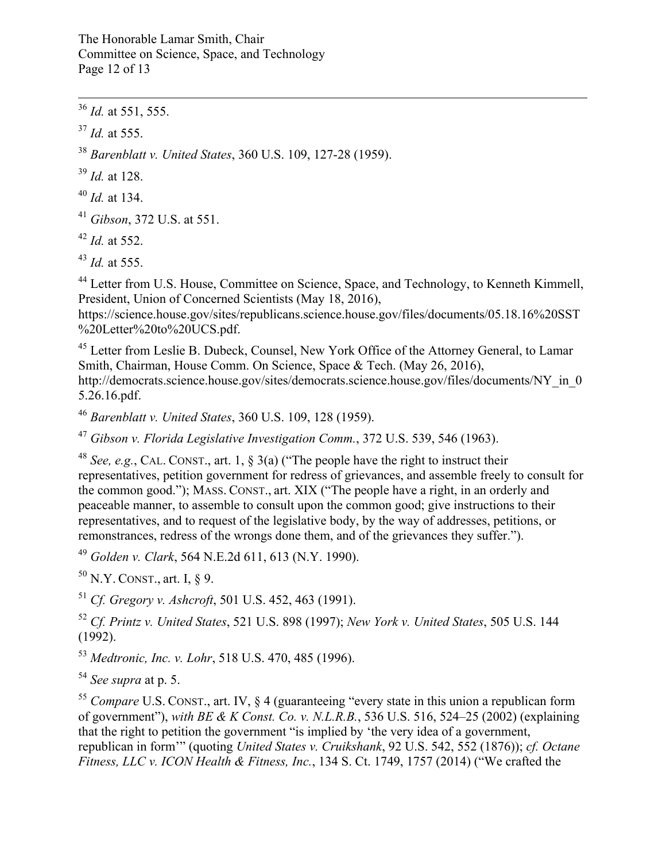The Honorable Lamar Smith, Chair Committee on Science, Space, and Technology Page 12 of 13

36 *Id.* at 551, 555.

<sup>37</sup> *Id.* at 555.

<sup>38</sup> *Barenblatt v. United States*, 360 U.S. 109, 127-28 (1959).

<sup>39</sup> *Id.* at 128.

<sup>40</sup> *Id.* at 134.

<sup>41</sup> *Gibson*, 372 U.S. at 551.

<sup>42</sup> *Id.* at 552.

<sup>43</sup> *Id.* at 555.

<sup>44</sup> Letter from U.S. House, Committee on Science, Space, and Technology, to Kenneth Kimmell, President, Union of Concerned Scientists (May 18, 2016),

https://science.house.gov/sites/republicans.science.house.gov/files/documents/05.18.16%20SST %20Letter%20to%20UCS.pdf.

<sup>45</sup> Letter from Leslie B. Dubeck, Counsel, New York Office of the Attorney General, to Lamar Smith, Chairman, House Comm. On Science, Space & Tech. (May 26, 2016), http://democrats.science.house.gov/sites/democrats.science.house.gov/files/documents/NY\_in\_0 5.26.16.pdf.

<sup>46</sup> *Barenblatt v. United States*, 360 U.S. 109, 128 (1959).

<sup>47</sup> *Gibson v. Florida Legislative Investigation Comm.*, 372 U.S. 539, 546 (1963).

<sup>48</sup> *See, e.g.*, CAL. CONST., art. 1, § 3(a) ("The people have the right to instruct their representatives, petition government for redress of grievances, and assemble freely to consult for the common good."); MASS. CONST., art. XIX ("The people have a right, in an orderly and peaceable manner, to assemble to consult upon the common good; give instructions to their representatives, and to request of the legislative body, by the way of addresses, petitions, or remonstrances, redress of the wrongs done them, and of the grievances they suffer.").

<sup>49</sup> *Golden v. Clark*, 564 N.E.2d 611, 613 (N.Y. 1990).

 $50$  N.Y. CONST., art. I, § 9.

<sup>51</sup> *Cf. Gregory v. Ashcroft*, 501 U.S. 452, 463 (1991).

<sup>52</sup> *Cf. Printz v. United States*, 521 U.S. 898 (1997); *New York v. United States*, 505 U.S. 144 (1992).

<sup>53</sup> *Medtronic, Inc. v. Lohr*, 518 U.S. 470, 485 (1996).

<sup>54</sup> *See supra* at p. 5.

<sup>55</sup> *Compare* U.S. CONST., art. IV, § 4 (guaranteeing "every state in this union a republican form of government"), *with BE & K Const. Co. v. N.L.R.B.*, 536 U.S. 516, 524–25 (2002) (explaining that the right to petition the government "is implied by 'the very idea of a government, republican in form'" (quoting *United States v. Cruikshank*, 92 U.S. 542, 552 (1876)); *cf. Octane Fitness, LLC v. ICON Health & Fitness, Inc.*, 134 S. Ct. 1749, 1757 (2014) ("We crafted the